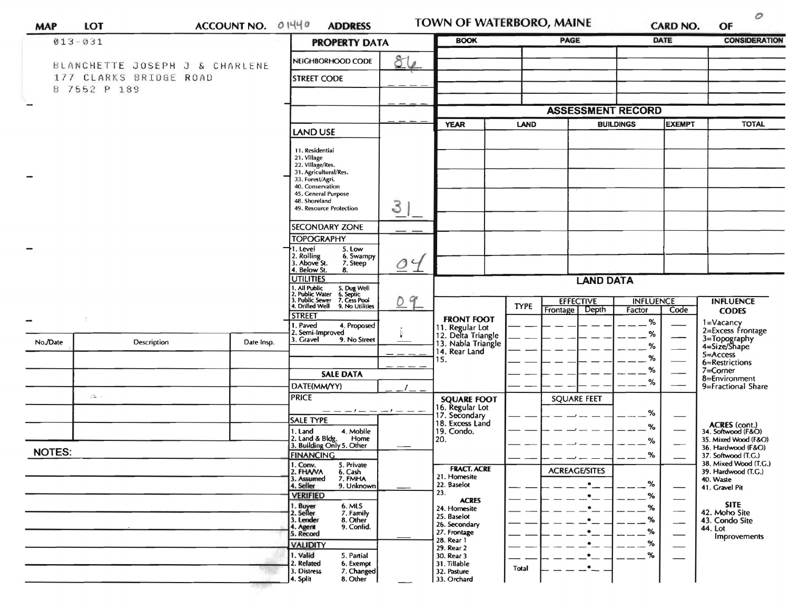| <b>MAP</b>                                           | LOT                                                                      | ACCOUNT NO. 01440 |                                                                                              | <b>ADDRESS</b>                                                                              |                       | TOWN OF WATERBORO, MAINE                                                             |             |          |                                   |                            | <b>CARD NO.</b> | $\omega$<br>OF                                                              |
|------------------------------------------------------|--------------------------------------------------------------------------|-------------------|----------------------------------------------------------------------------------------------|---------------------------------------------------------------------------------------------|-----------------------|--------------------------------------------------------------------------------------|-------------|----------|-----------------------------------|----------------------------|-----------------|-----------------------------------------------------------------------------|
|                                                      | $013 - 031$                                                              |                   |                                                                                              | <b>PROPERTY DATA</b>                                                                        |                       | <b>BOOK</b>                                                                          | <b>PAGE</b> |          |                                   | DATE                       |                 | <b>CONSIDERATION</b>                                                        |
|                                                      | BLANCHETTE JOSEPH J & CHARLENE<br>177 CLARKS BRIDGE ROAD<br>B 7552 P 189 |                   |                                                                                              | NEIGHBORHOOD CODE<br><b>STREET CODE</b>                                                     | ଟ୍ଟା<br>$\mathscr{Q}$ |                                                                                      |             |          |                                   |                            |                 |                                                                             |
|                                                      |                                                                          |                   |                                                                                              |                                                                                             |                       |                                                                                      |             |          |                                   |                            |                 |                                                                             |
|                                                      |                                                                          |                   |                                                                                              |                                                                                             |                       | <b>ASSESSMENT RECORD</b>                                                             |             |          |                                   |                            |                 |                                                                             |
|                                                      |                                                                          |                   |                                                                                              | <b>LAND USE</b>                                                                             |                       | <b>YEAR</b>                                                                          | LAND        |          | <b>BUILDINGS</b><br><b>EXEMPT</b> |                            | <b>TOTAL</b>    |                                                                             |
|                                                      |                                                                          |                   | 11. Residential<br>21. Village<br>22. Village/Res.<br>33. Forest/Agri.<br>48. Shoreland      | 31. Agricultural/Res.<br>40. Conservation<br>45. General Purpose<br>49. Resource Protection | З                     |                                                                                      |             |          |                                   |                            |                 |                                                                             |
|                                                      |                                                                          |                   |                                                                                              |                                                                                             |                       |                                                                                      |             |          |                                   |                            |                 |                                                                             |
|                                                      |                                                                          |                   |                                                                                              | <b>SECONDARY ZONE</b><br><b>TOPOGRAPHY</b>                                                  |                       |                                                                                      |             |          |                                   |                            |                 |                                                                             |
| ener,                                                |                                                                          |                   | 1. Level<br>2. Rolling<br>3. Above St.<br>4. Below St.                                       | 5. Low<br>6. Swampy<br>7. Steep<br>8.                                                       | 04                    |                                                                                      |             |          |                                   |                            |                 |                                                                             |
|                                                      |                                                                          |                   |                                                                                              | <b>UTILITIES</b>                                                                            |                       | <b>LAND DATA</b>                                                                     |             |          |                                   |                            |                 |                                                                             |
|                                                      |                                                                          |                   | 1. All Public<br>2. Public Water<br>3. Public Sewer<br>4. Drilled Well                       | 5. Dug Well<br>6. Septic<br>7. Cess Pool<br>9. No Utilities                                 | 9                     |                                                                                      | <b>TYPE</b> | Frontage | <b>EFFECTIVE</b><br>Depth         | <b>INFLUENCE</b><br>Factor | Code            | <b>INFLUENCE</b><br><b>CODES</b>                                            |
| minister<br>Album (1993)<br>Album (1993)<br>No./Date | Description                                                              | Date Insp.        | <b>STREET</b><br>1. Paved<br>3. Gravel                                                       | 4. Proposed<br>2. Semi-Improved<br>9. No Street                                             |                       | <b>FRONT FOOT</b><br>11. Regular Lot<br>12. Delta Triangle                           |             |          |                                   | %<br>$\%$                  |                 | 1=Vacancy<br>2=Excess Frontage<br>3=Topography<br>4=Size/Shape              |
|                                                      |                                                                          |                   |                                                                                              |                                                                                             |                       | 13. Nabla Triangle<br>14. Rear Land<br>15.                                           |             |          |                                   | %<br>%                     |                 | 5=Access                                                                    |
|                                                      |                                                                          |                   |                                                                                              | <b>SALE DATA</b>                                                                            |                       |                                                                                      |             |          |                                   | %                          |                 | 6=Restrictions<br>$7 =$ Corner                                              |
|                                                      |                                                                          |                   |                                                                                              | DATE(MM/YY)                                                                                 |                       |                                                                                      |             |          |                                   | %                          |                 | 8=Environment<br>9=Fractional Share                                         |
|                                                      | $75 - 1$                                                                 |                   | <b>PRICE</b>                                                                                 |                                                                                             |                       | <b>SQUARE FOOT</b>                                                                   |             |          | <b>SQUARE FEET</b>                |                            |                 |                                                                             |
|                                                      |                                                                          |                   | <b>SALE TYPE</b>                                                                             | $-1 - 1$                                                                                    | $-1-$                 | 16. Regular Lot<br>17. Secondary<br>18. Excess Land                                  |             |          |                                   | %                          |                 |                                                                             |
|                                                      |                                                                          |                   | 1. Land                                                                                      | 4. Mobile<br>2. Land & Bldg. Home<br>3. Building Only 5. Other<br>Home                      |                       | 19. Condo.<br>20.                                                                    |             |          |                                   | %<br>%                     |                 | ACRES (cont.)<br>34. Softwood (F&O)<br>35. Mixed Wood (F&O)                 |
| <b>NOTES:</b>                                        |                                                                          |                   | <b>FINANCING</b>                                                                             |                                                                                             |                       |                                                                                      |             |          |                                   | %                          |                 | 36. Hardwood (F&O)<br>37. Softwood (T.G.)                                   |
|                                                      |                                                                          |                   | 1. Conv.<br>2. FHAVA<br>3. Assumed<br>4. Seller                                              | 5. Private<br>6. Cash<br>7. FMHA<br>9. Unknown                                              |                       | <b>FRACT. ACRE</b><br>21. Homesite<br>22. Baselot<br>23.                             |             |          | <b>ACREAGE/SITES</b>              | %                          |                 | 38. Mixed Wood (T.G.)<br>39. Hardwood (T.G.)<br>40. Waste<br>41. Gravel Pit |
|                                                      |                                                                          |                   | <b>VERIFIED</b><br>1. Buy <mark>er</mark><br>2. Seller<br>3. Lender<br>4. Agent<br>5. Record | 6. MLS<br>7. Family<br>8. Other<br>9. Confid.                                               |                       | <b>ACRES</b><br>24. Homesite<br>25. Baselot<br>26. Secondary<br>27. Frontage         |             |          |                                   | %<br>%<br>%                |                 | <b>SITE</b><br>42. Moho Site<br>43. Condo Site<br>44. Lot<br>Improvements   |
|                                                      |                                                                          |                   | <b>VALIDITY</b><br>1. Valid<br>2. Related<br>3. Distress<br>4. Split                         | 5. Partial<br>6. Exempt<br>7. Changed<br>8. Other                                           |                       | 28. Rear 1<br>29. Rear 2<br>30. Rear 3<br>31. Tillable<br>32. Pasture<br>33. Orchard | Total       |          |                                   | %<br>%                     |                 |                                                                             |